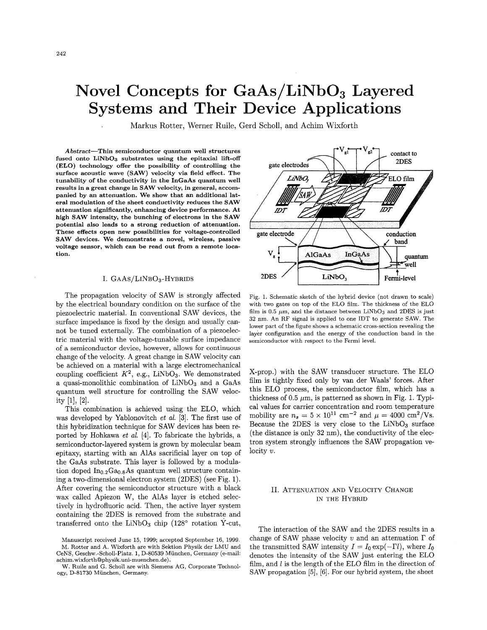# <span id="page-0-0"></span>**Novel Concepts for GaAs/LiNb03 Layered Systems and Their Device Applications**

Markus Rotter, Werner Ruile, Gerd Scholl, and Achim Wixforth

**Abstract-Thin semiconductor quantum well structures fused onto LiNbOs substrates using the epitaxial lift-off (ELO) technology offer the possibility of controlling the surface acoustic wave (SAW) velocity via field effect. The tunability of the conductivity in the InGaAs quantum well results in a great change in SAW velocity, in general, accompanied by an attenuation. We show that an additional lateral modulation of the sheet conductivity reducesthe SAW attenuation significantly,enhancing device performance.At high SAW intensity, the bunching of electrons in the SAW potential also leads to a strong reduction of attenuation. These effects open new possibilities for voltage-controlled SAW devices. We demonstrate a novel, wireless, passive voltage sensor, which can be read out from a remote location.**

#### I. GAAS/LINBO<sub>3</sub>-HYBRIDS

The propagation velocity of SAW is strongly affected by the electrical boundary condition on the surface of the piezoelectric material. In conventional SAW devices, the surface impedance is fixed by the design and usually cannot be tuned externally. The combination of a piezoelectric material with the voltage-tunable surface impedance of a semiconductor device, however, allows for continuous change of the velocity. A great change in SAWvelocity can be achieved on a material with a large electromechanical coupling coefficient  $K^2$ , e.g., LiNbO<sub>3</sub>. We demonstrated a quasi-monolithic combination of  $LiNbO<sub>3</sub>$  and a GaAs quantum well structure for controlling the SAW velocity [1], [2].

This combination is achieved using the ELO, which was developed by Yablonovitch *et al.* [3]. The first use of this hybridization technique for SAW devices has been reported by Hohkawa *et al.* [4]. To fabricate the hybrids, a semiconductor-layered system is grown by molecular beam epitaxy, starting with an AlAs sacrificial layer on top of the GaAs substrate. This layer is followed by a modulation doped  $In<sub>0.2</sub>Ga<sub>0.8</sub>As quantum well structure contain$ ing a two-dimensional electron system (2DES) (see Fig. 1). After covering the semiconductor structure with a black wax called Apiezon W, the AlAs layer is etched selectively in hydrofluoric acid. Then, the active layer system containing the 2DES is removed from the substrate and transferred onto the LiNbO<sub>3</sub> chip  $(128^{\circ}$  rotation Y-cut,



Fig. 1. Schematic sketch of the hybrid device (not drawn to scale) with two gates on top of the EL0 film. The thickness of the EL0 film is 0.5  $\mu$ m, and the distance between LiNbO<sub>3</sub> and 2DES is just **32** nm. An RF signal is applied to one IDT to generate SAW. The lower part of the figure shows a schematic cross-section revealing the layer configuration and the energy of the conduction band in the semiconductor with respect to the Fermi level.

X-prop.) with the SAW transducer structure. The EL0 film is tightly fixed only by van der Waals' forces. After this EL0 process, the semiconductor film, which has a thickness of 0.5  $\mu$ m, is patterned as shown in Fig. 1. Typical values for carrier concentration and room temperature mobility are  $n_s = 5 \times 10^{11}$  cm<sup>-2</sup> and  $\mu = 4000$  cm<sup>2</sup>/Vs. Because the 2DES is very close to the  $LiNbO<sub>3</sub>$  surface (the distance is only 32 nm), the conductivity of the electron system strongly influences the SAW propagation velocity *<sup>U</sup> .*

## II. ATTENUATION AND VELOCITY CHANGE IN THE HYBRID

The interaction of the SAW and the 2DES results in a change of SAW phase velocity  $v$  and an attenuation  $\Gamma$  of the transmitted SAW intensity  $I = I_0 \exp(-\Gamma l)$ , where  $I_0$ denotes the intensity of the SAW just entering the EL0 film, and  $l$  is the length of the ELO film in the direction of SAW propagation  $[5]$ ,  $[6]$ . For our hybrid system, the sheet

Manuscript received June 15, 1999; accepted September 16, 1999. M. Rotter and A. Wixforth are with Sektion Physik der LMU and CeNS, Geschw.-Scholl-Platz. 1,D-80539 Miinchen, Germany (e-mail: **achim.wixforthOphysik.uni-muenchen.de).**

W. Ruile and G. Scholl are with Siemens AG, Corporate Technol*ogy,* D-81730 Miinchen, Germany.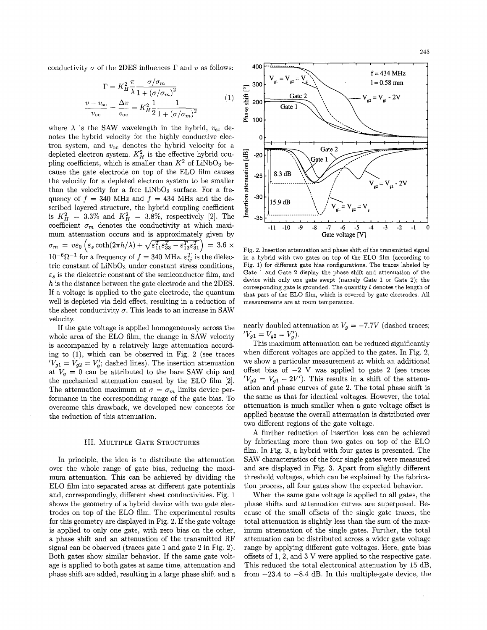conductivity  $\sigma$  of the 2DES influences  $\Gamma$  and  $v$  as follows:

$$
y \sigma \text{ of the 2DES influences } \Gamma \text{ and } v \text{ as follows:}
$$

$$
\Gamma = K_H^2 \frac{\pi}{\lambda} \frac{\sigma/\sigma_m}{1 + (\sigma/\sigma_m)^2}
$$

$$
\frac{v - v_{\text{sc}}}{v_{\text{oc}}} = \frac{\Delta v}{v_{\text{oc}}} = K_H^2 \frac{1}{2} \frac{1}{1 + (\sigma/\sigma_m)^2}
$$

$$
(1)
$$

where  $\lambda$  is the SAW wavelength in the hybrid,  $v_{\rm sc}$  denotes the hybrid velocity for the highly conductive electron system, and  $v_{\rm oc}$  denotes the hybrid velocity for a depleted electron system.  $K_H^2$  is the effective hybrid coupling coefficient, which is smaller than  $K^2$  of LiNbO<sub>3</sub> because the gate electrode on top of the EL0 film causes the velocity for a depleted electron system to be smaller than the velocity for a free  $LiNbO<sub>3</sub>$  surface. For a frequency of  $f = 340$  MHz and  $f = 434$  MHz and the described layered structure, the hybrid coupling coefficient is  $K_H^2 = 3.3\%$  and  $K_H^2 = 3.8\%$ , respectively [2]. The coefficient  $\sigma_m$  denotes the conductivity at which maximum attenuation occurs and is approximately given by  $10^{-6} \Omega^{-1}$  for a frequency of  $f = 340$  MHz.  $\varepsilon_{ij}^T$  is the dielectric constant of  $LiNbO<sub>3</sub>$  under constant stress conditions,  $\varepsilon_s$  is the dielectric constant of the semiconductor film, and h is the distance between the gate electrode and the 2DES. If a voltage is applied to the gate electrode, the quantum well is depleted via field effect, resulting in a reduction of the sheet conductivity  $\sigma$ . This leads to an increase in SAW velocity.  $\sigma_m = v \varepsilon_0 \left( \varepsilon_s \coth(2\pi h/\lambda) + \sqrt{\varepsilon_{11}^T \varepsilon_{33}^T - \varepsilon_{13}^T \varepsilon_{31}^T} \right) = 3.6 \times$ 

If the gate voltage is applied homogeneously across the whole area of the EL0 film, the change in SAW velocity is accompanied by a relatively large attenuation according to  $(1)$ , which can be observed in Fig. 2 (see traces  $'V_{g1} = V_{g2} = V'_g$ ; dashed lines). The insertion attenuation at  $V_g = 0$  can be attributed to the bare SAW chip and the mechanical attenuation caused by the EL0 film [2]. The attenuation maximum at  $\sigma = \sigma_m$  limits device performance in the corresponding range of the gate bias. To overcome this drawback, we developed new concepts for the reduction of this attenuation.

## III. MULTIPLE GATE STRUCTURES

In principle, the idea is to distribute the attenuation over the whole range of gate bias, reducing the maximum attenuation. This can be achieved by dividing the EL0 film into separated areas at different gate potentials and, correspondingly, different sheet conductivities. [Fig.](#page-0-0) 1 shows the geometry of a hybrid device with two gate electrodes on top of the EL0 film. The experimental results for this geometry are displayed in Fig. 2. If the gate voltage is applied to only one gate, with zero bias on the other, a phase shift and an attenuation of the transmitted RF signal can be observed (traces gate 1and gate 2 in Fig. 2). Both gates show similar behavior. If the same gate voltage is applied to both gates at same time, attenuation and phase shift are added, resulting in a large phase shift and a



Fig. **2.** Insertion attenuation and phase shift of the transmitted signal in a hybrid with two gates on top of the EL0 film (according to Fig. 1) for different gate bias configurations. The traces labeled by Gate 1 and Gate 2 display the phase shift and attenuation of the device with only one gate swept (namely Gate 1 or Gate 2); the corresponding gate is grounded. The quantity *<sup>1</sup>* denotes the length of that part of the EL0 film, which is covered by gate electrodes. All measurements are at room temperature.

nearly doubled attenuation at  $V_g = -7.7V$  (dashed traces;  $'V_{g1}=V_{g2}=V'_{g}).$ 

This maximum attenuation can be reduced significantly when different voltages are applied to the gates. In Fig. 2, we show a particular measurement at which an additional offset bias of  $-2$  V was applied to gate 2 (see traces  $'V_{g2} = V_{g1} - 2V'$ . This results in a shift of the attenuation and phase curves of gate 2. The total phase shift is the same as that for identical voltages. However, the total attenuation is much smaller when a gate voltage offset is applied because the overall attenuation is distributed over two different regions of the gate voltage.

**A** further reduction of insertion loss can be achieved by fabricating more than two gates on top of the EL0 film. In Fig. **3,** a hybrid with four gates is presented. The SAW characteristics of the four single gates were measured and are displayed in [Fig.](#page-2-0) **3.** Apart from slightly different threshold voltages, which can be explained by the fabrication process, all four gates show the expected behavior.

When the same gate voltage is applied to all gates, the phase shifts and attenuation curves are superposed. Because of the small offsets of the single gate traces, the total attenuation is slightly less than the sum of the maximum attenuation of the single gates. Further, the total attenuation can be distributed across a wider gate voltage range by applying different gate voltages. Here, gate bias offsets of 1,2, and 3 V were applied to the respective gate. This reduced the total electronical attenuation by 15 dB, from  $-23.4$  to  $-8.4$  dB. In this multiple-gate device, the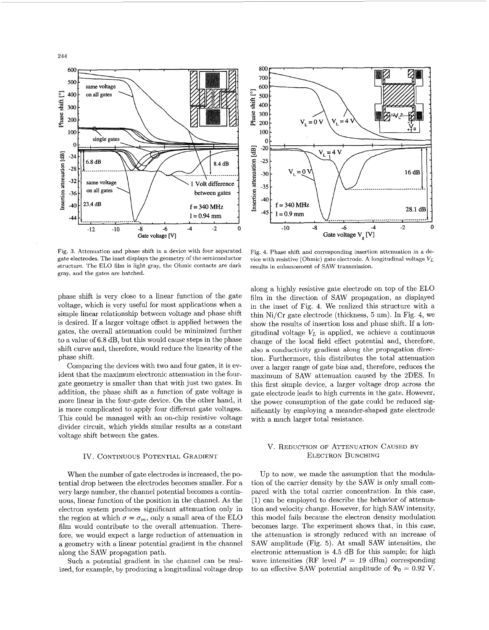<span id="page-2-0"></span>244





Fig. **3.** Attenuation and phase shift in a device with four separated gate electrodes. The inset displays the geometry of the semiconductor structure. The ELO film is light gray, the Ohmic contacts are dark gray, and the gates are hatched.

phase shift is very close to a linear function of the gate voltage, which is very useful for most applications when a simple linear relationship between voltage and phase shift is desired. If a larger voltage offset is applied between the gates, the overall attenuation could be minimized further to a value of 6.8 dB, but this would cause stepsin the phase shift curve and, therefore, would reduce the linearity of the phase shift.

Comparing the devices with two and four gates, it is evident that the maximum electronic attenuation in the fourgate geometry is smaller than that with just two gates. In addition, the phase shift as a function of gate voltage is more linear in the four-gate device. On the other hand, it is more complicated to apply four different gate voltages. This could be managed with an on-chip resistive voltage divider circuit, which yields similar results as a constant voltage shift between the gates.

## IV. CONTINUOUS POTENTIAL GRADIENT

When the number of gate electrodes is increased, the potential drop between the electrodes becomes smaller. For a very large number, the channel potential becomes a continuous, linear function of the position in the channel. As the electron system produces significant attenuation only in the region at which  $\sigma = \sigma_m$ , only a small area of the ELO film would contribute to the overall attenuation. Therefore, we would expect a large reduction of attenuation in a geometry with a linear potential gradient in the channel along the SAW propagation path.

Such a potential gradient in the channel can be realized, for example, by producing a longitudinal voltage drop

Fig. 4. Phase shift and corresponding insertion attenuation in a device with resistive (Ohmic) gate electrode. A longitudinal voltage *V,* results in enhancement of SAW transmission.

along a highly resistive gate electrode on top of the EL0 film in the direction of SAW propagation, as displayed in the inset of Fig. 4. We realized this structure with a thin Ni/Cr gate electrode (thickness, 5 nm). In Fig. 4, we show the results of insertion loss and phase shift. If a longitudinal voltage  $V_L$  is applied, we achieve a continuous change of the local field effect potential and, therefore, also a conductivity gradient along the propagation direction. Furthermore, this distributes the total attenuation over a larger range of gate bias and, therefore, reduces the maximum of SAW attenuation caused by the 2DES. In this first simple device, a larger voltage drop across the gate electrode leads to high currents in the gate. However, the power consumption of the gate could be reduced significantly by employing a meander-shaped gate electrode with a much larger total resistance.

## **V. REDUCTION OF ATTENUATION CAUSED BY** ELECTRON BUNCHING

Up to now, we made the assumption that the modulation of the carrier density by the SAW is only small compared with the total carrier concentration. In this case,  $(1)$  can be employed to describe the behavior of attenuation and velocity change. However, for high SAW intensity, this model fails because the electron density modulation becomes large. The experiment shows that, in this case, the attenuation is strongly reduced with an increase of SAW amplitude (Fig. 5). At small SAW intensities, the electronic attenuation is 4.5 dB for this sample; for high wave intensities (RF level  $P = 19$  dBm) corresponding to an effective SAW potential amplitude of  $\Phi_0 = 0.92$  V,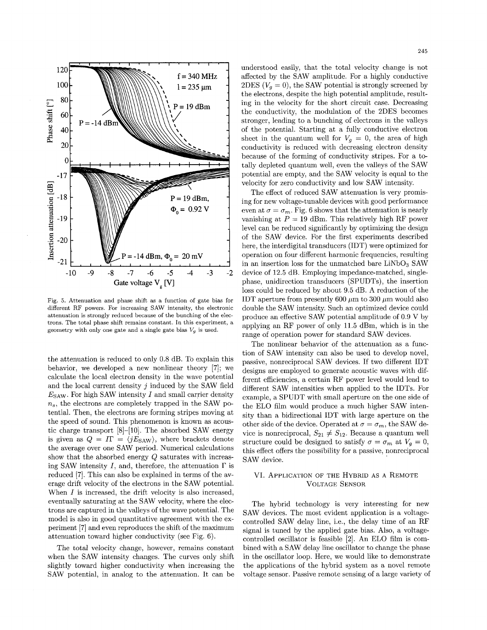

Fig. 5. Attenuation and phase shift as a function of gate bias for different RF powers. For increasing SAW intensity, the electronic attenuation is strongly reduced because of the bunching of the electrons. The total phase shift remains constant. In this experiment, a geometry with only one gate and a single gate bias  $V_q$  is used.

the attenuation is reduced to only 0.8 dB. To explain this behavior, we developed a new nonlinear theory [7]; we calculate the local electron density in the wave potential and the local current density *j* induced by the SAW field  $E_{\text{SAW}}$ . For high SAW intensity *I* and small carrier density *n,,* the electrons are completely trapped'in the SAW potential. Then, the electrons are forming stripes moving at the speed of sound. This phenomenon is known as acoustic charge transport  $[8]-[10]$ . The absorbed SAW energy is given as  $Q = I\Gamma = \langle jE_{SAW} \rangle$ , where brackets denote the average over one SAW period. Numerical calculations show that the absorbed energy *Q* saturates with increasing SAW intensity *I*, and, therefore, the attenuation  $\Gamma$  is reduced [7].This can also be explained in terms of the average drift velocity of the electrons in the SAW potential. When *I* is increased, the drift velocity is also increased, eventually saturating at the SAW velocity, where the electrons are captured in the valleys of the wave potential. The model is also in good quantitative agreement with the experiment [7]and even reproduces the shift of the maximum attenuation toward higher conductivity (see Fig. 6).

The total velocity change, however, remains constant when the SAW intensity changes. The curves only shift slightly toward higher conductivity when increasing the SAW potential, in analog to the attenuation. It can be understood easily, that the total velocity change is not affected by the SAW amplitude. For a highly conductive 2DES  $(V_q = 0)$ , the SAW potential is strongly screened by the electrons, despite the high potential amplitude, resulting in the velocity for the short circuit case. Decreasing the conductivity, the modulation of the 2DES becomes stronger, leading to a bunching of electrons in the valleys of the potential. Starting at a fully conductive electron sheet in the quantum well for  $V_g = 0$ , the area of high conductivity is reduced with decreasing electron density because of the forming of conductivity stripes. For a totally depleted quantum well, even the valleys of the SAW potential are empty, and the SAW velocity is equal to the velocity for zero conductivity and low SAW intensity.

The effect of reduced SAW attenuation is very promising for new voltage-tunable devices with good performance even at  $\sigma = \sigma_m$ . Fig. 6 shows that the attenuation is nearly vanishing at  $P = 19$  dBm. This relatively high RF power level can be reduced significantly by optimizing the design of the SAW device. For the first experiments described here, the interdigital transducers (IDT) were optimized for operation on four different harmonic frequencies, resulting in an insertion loss for the unmatched bare  $LiNbO<sub>3</sub>$  SAW device of 12.5 dB. Employing impedance-matched, singlephase, unidirection transducers (SPUDTs), the insertion loss could be reduced by about 9.5 dB. A reduction of the IDT aperture from presently 600  $\mu$ m to 300  $\mu$ m would also double the SAW intensity. Such an optimized device could produce an effective SAW potential amplitude of 0.9 V by applying an RF power of only 11.5 dBm, which is in the range of operation power for standard SAW devices.

The nonlinear behavior of the attenuation as a function of SAW intensity can also be used to develop novel, passive, nonreciprocal SAW devices. If two different IDT designs are employed to generate acoustic waves with different efficiencies, a certain RF power level would lead to different SAW intensities when applied to the IDTs. For example, a SPUDT with small aperture on the one side of the EL0 film would produce a much higher SAW intensity than a bidirectional IDT with large aperture on the other side of the device. Operated at  $\sigma = \sigma_m$ , the SAW device is nonreciprocal,  $S_{21} \neq S_{12}$ . Because a quantum well structure could be designed to satisfy  $\sigma = \sigma_m$  at  $V_g = 0$ , this effect offers the possibility for a passive, nonreciprocal SAW device.

## VI. APPLICATION OF THE HYBRID AS A REMOTE **VOLTAGE SENSOR**

The hybrid technology is very interesting for new SAW devices. The most evident application is a voltagecontrolled SAW delay line, i.e., the delay time of an RF signal is tuned by the applied gate bias. Also, a voltagecontrolled oscillator is feasible  $[2]$ . An ELO film is combined with a SAW delay line oscillator to change the phase in the oscillator loop. Here, we would like to demonstrate the applications of the hybrid system as a novel remote voltage sensor. Passive remote sensing of a large variety of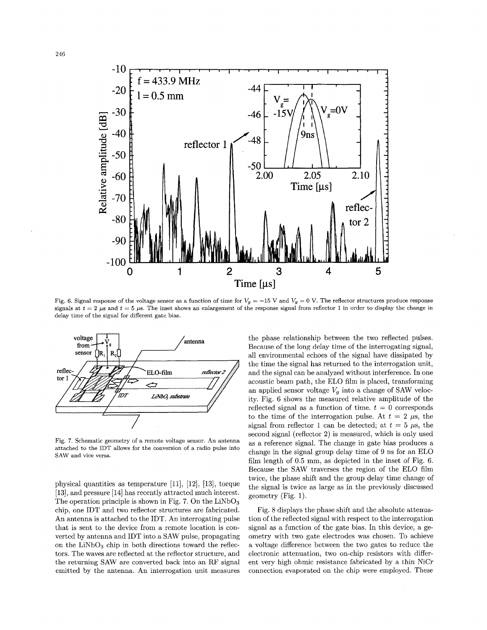

Fig. 6. Signal response of the voltage sensor as a function of time for  $V_q = -15$  V and  $V_q = 0$  V. The reflector structures produce response signals at  $t = 2$   $\mu$ s and  $t = 5$   $\mu$ s. The inset shows an enlargement of the response signal from reflector 1 in order to display the change in delay time of the signal for different gate bias.



Fig. **7.** Schematic geometry of a remote voltage sensor. An antenna attached to the IDT allows for the conversion of a radio pulse into SAW and vice versa.

physical quantities as temperature [11],[12], **[13],** torque [13], and pressure [14] has recently attracted much interest. The operation principle is shown in Fig. 7. On the  $LiNbO<sub>3</sub>$ chip, one IDT and two reflector structures are fabricated. An antenna is attached to the IDT. An interrogating pulse that is sent to the device from a remote location is converted by antenna and IDT into a SAW pulse, propagating on the  $LiNbO<sub>3</sub>$  chip in both directions toward the reflectors. The waves are reflected at the reflector structure, and the returning SAW are converted back into an RF signal emitted by the antenna. An interrogation unit measures the phase relationship between the two reflected pulses. Because of the long delay time of the interrogating signal, all environmental echoes of the signal have dissipated by the time the signal has returned to the interrogation unit, and the signal can be analyzed without interference. In one acoustic beam path, the EL0 film is placed, transforming an applied sensor voltage  $V<sub>g</sub>$  into a change of SAW velocity. Fig. 6 shows the measured relative amplitude of the reflected signal as a function of time.  $t = 0$  corresponds to the time of the interrogation pulse. At  $t = 2 \mu s$ , the signal from reflector 1 can be detected; at  $t = 5 \mu s$ , the second signal (reflector **2)** is measured, which is only used as a reference signal. The change in gate bias produces a change in the signal group delay time of 9 ns for an EL0 film length of 0.5 mm, as depicted in the inset of Fig. 6. Because the SAW traverses the region of the EL0 film twice, the phase shift and the group delay time change of the signal is twice as large as in the previously discussed geometry (Fig. 1).

Fig. 8 displays the phase shift and the absolute attenuation of the reflected signal with respect to the interrogation signal as a function of the gate bias. In this device, a geometry with two gate electrodes was chosen. To achieve a voltage difference between the two gates to reduce the electronic attenuation, two on-chip resistors with different very high ohmic resistance fabricated by a thin NiCr connection evaporated on the chip were employed. These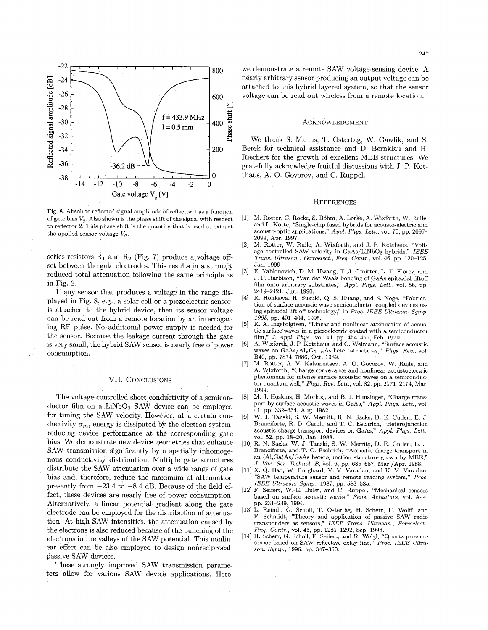

Fig. 8. Absolute reflected signal amplitude of reflector 1as a function of gate bias  $V_g$ . Also shown is the phase shift of the signal with respect to reflector 2. This phase shift is the quantity that is used to extract the applied sensor voltage  $V_q$ .

series resistors  $R_1$  and  $R_2$  (Fig. 7) produce a voltage offset between the gate electrodes. This results in a strongly reduced total attenuation following the same principle as in Fig. *2 .*

If any sensor that produces a voltage in the range displayed in Fig. 8, e.g., a solar cell or a piezoelectric sensor, is attached to the hybrid device, then its sensor voltage can be read out from a remote location by an interrogating RF pulse. No additional power supply is needed for the sensor. Because the leakage current through the gate is very small, the hybrid SAW sensor is nearly free of power consumption.

### VII. CONCLUSIONS

The voltage-controlled sheet conductivity of a semiconductor film on a LiNbO<sub>3</sub> SAW device can be employed for tuning the SAW velocity. However, at a certain conductivity  $\sigma_m$ , energy is dissipated by the electron system, reducing device performance at the corresponding gate bias. We demonstrate new device geometries that enhance SAW transmission significantly by a spatially inhomogenous conductivity distribution. Multiple gate structures distribute the SAW attenuation over a wide range of gate bias and, therefore, reduce the maximum of attenuation presently from  $-23.4$  to  $-8.4$  dB. Because of the field effect, these devices are nearly free of power consumption. Alternatively, a linear potential gradient along the gate electrode can be employed for the distribution of attenuation. At high SAW intensities, the attenuation caused by the electronsis also reduced because of the bunching of the electrons in the valleys of the SAW potential. This nonlinear effect can be also employed to design nonreciprocal, passive SAW devices.

These strongly improved SAW transmission parameters allow for various SAW device applications. Here,

we demonstrate a remote SAW voltage-sensing device. A nearly arbitrary sensor producing an output voltage can be attached to this hybrid layered system, so that the sensor voltage can be read out wireless from a remote location.

#### ACKNOWLEDGMENT

We thank S. Manus, T. Ostertag, W. Gawlik, and S. Berek for technical assistance and D. Bernklau and H. Riechert for the growth of excellent MBE structures. We gratefully acknowledge fruitful discussions with J. P. Kotthaus, A. 0. Govorov, and C. Ruppel.

#### **REFERENCES**

- [l] M. Rotter, C. Rocke, S.Bohm, A. Lorke, A. Wixforth, W. Ruile, and L. Korte, "Single-chip fused hybrids for acousto-electric and acousto-optic applications," *Appl. Phys. Lett.,* vol. 70, pp. 2097- 2099, Apr. 1997.
- M. Rotter, W. Ruile, A. Wixforth, and J. P. Kotthaus, "Voltage controlled SAW velocity in GaAs/LiNb03-hybrids," *IEEE Trans. Ultrason., Ferroelect., Freq. Contr.,* vol. 46, pp. 120-125, Jan. 1999. [2]
- E. Yablonovich, D. M. Hwang, T. J. Gmitter, L. T. Florez, and J. P. Harbison, "Van der Waals bonding of GaAs epitaxial liftoff film onto arbitrary substrates," *Appl. Phys. Lett.,* vol. 56, pp. 2419-2421, Jun. 1990. [3]
- **[4]** K. Hohkawa, H. Suzuki, *Q. S.* Huang, and S. Noge, "Fabrication of surface acoustic wave semiconductor coupled devices using epitaxial lift-off technology," in *Proc. IEEE Ultrason.* Symp. *1995,* pp. 401-404, 1995.
- [5] K. A. Ingebrigtsen, "Linear and nonlinear attenuation of acoustic surface waves in a piezoelectric coated with a semiconductor film," *J . Appl. Phys.,* vol. 41, pp. 454-459, Feb. 1970.
- A. Wixforth, J. P. Kotthaus, and G. Weimann, "Surface acoustic waves on  $GaAs/Al_xG_{1-x}As$  heterostructures," *Phys. Rev.*, vol. [6] B40, pp. 7874-7886, Oct. 1989.
- M. Rotter, A. V. Kalameitsev, A. 0. Govorov, W. Ruile, and A. Wixforth, "Charge conveyance and nonlinear acoustoelectric phenomena for intense surface acoustic waves on a semiconductor quantum well," *Phys. Rev. Lett.,* vol. 82, pp. 2171-2174, Mar. 1999. [7]
- M. J. Hoskins, H. Morkoç, and B. J. Hunsinger, "Charge transport by surface acoustic waves in GaAs," *Appl. Phys. Lett.,* vol. [8] 41, pp. ,332-334, Aug. 1982.
- [9] W. J. Tanski, S.W. Merritt, R. N. Sacks, D. **E.** Cullen, E. J. Branciforte; R. D. Caroll, and T. C. Eschrich, "Heterojunction acoustic charge transport devices on GaAs," *Appl. Phys. Lett.,* vol. 52, pp. 18-20, Jan. 1988.
- [lo] R. N. Sacks, W. J. Tanski, S. W. Merritt, D. E. Cullen, E. J. Branciforte, and. T. C. Eschrich, "Acoustic charge transport in an (Al,Ga)As/GaAs heterojunction structure grown by MBE," *J . Vac. Sei. Technol. B,* vol. 6, pp. 685-687, Mar./Apr. 1988.
- [11] X. Q. Bao, W. Burghard, V. V. Varadan, and K. V. Varadan, "SAW temperature sensor and remote reading system," *Proc. IEEE Ultrason. Symp.,* 1987, pp. 583-585.
- [12]F. Seifert, W.-E. Bulst, and C. Ruppel, "Mechanical sensors based on surface acoustic waves," *Sens. Actuators,* vol. A44, pp. 231-239, 1994.
- [13]L. Reindl, G. Scholl, T. Ostertag, H. Scherr, U. Wolff, and F. Schmidt, "Theory and application of passive SAW radio transponders as sensors," *IEEE Trans. Ultrason., Ferroelect., Freq. Contr.,* vol. 45, pp. 1281-1292, Sep. 1998.
- [14]H. Scherr, G. Scholl, F. Seifert, and R. Weigl, "Quartz pressure sensor based on SAW reflective delay line," *Proc. IEEE Ultrason. Symp.,* 1996, pp. 347-350.